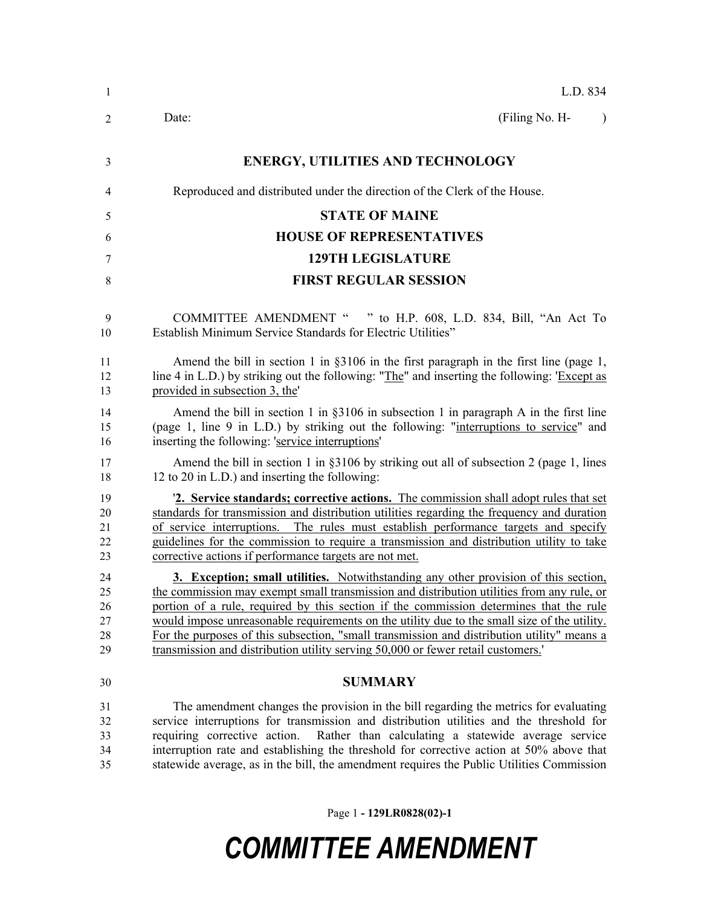| -1                               | L.D. 834                                                                                                                                                                                                                                                                                                                                                                                                                                                                                                                                                          |
|----------------------------------|-------------------------------------------------------------------------------------------------------------------------------------------------------------------------------------------------------------------------------------------------------------------------------------------------------------------------------------------------------------------------------------------------------------------------------------------------------------------------------------------------------------------------------------------------------------------|
| 2                                | (Filing No. H-<br>Date:<br>$\lambda$                                                                                                                                                                                                                                                                                                                                                                                                                                                                                                                              |
| 3                                | <b>ENERGY, UTILITIES AND TECHNOLOGY</b>                                                                                                                                                                                                                                                                                                                                                                                                                                                                                                                           |
| 4                                | Reproduced and distributed under the direction of the Clerk of the House.                                                                                                                                                                                                                                                                                                                                                                                                                                                                                         |
| 5                                | <b>STATE OF MAINE</b>                                                                                                                                                                                                                                                                                                                                                                                                                                                                                                                                             |
| 6                                | <b>HOUSE OF REPRESENTATIVES</b>                                                                                                                                                                                                                                                                                                                                                                                                                                                                                                                                   |
| 7                                | <b>129TH LEGISLATURE</b>                                                                                                                                                                                                                                                                                                                                                                                                                                                                                                                                          |
| 8                                | <b>FIRST REGULAR SESSION</b>                                                                                                                                                                                                                                                                                                                                                                                                                                                                                                                                      |
| 9<br>10                          | COMMITTEE AMENDMENT " " to H.P. 608, L.D. 834, Bill, "An Act To<br>Establish Minimum Service Standards for Electric Utilities"                                                                                                                                                                                                                                                                                                                                                                                                                                    |
| 11<br>12<br>13                   | Amend the bill in section 1 in $\S 3106$ in the first paragraph in the first line (page 1,<br>line 4 in L.D.) by striking out the following: "The" and inserting the following: 'Except as<br>provided in subsection 3, the                                                                                                                                                                                                                                                                                                                                       |
| 14<br>15<br>16                   | Amend the bill in section 1 in $\S 3106$ in subsection 1 in paragraph A in the first line<br>(page 1, line 9 in L.D.) by striking out the following: "interruptions to service" and<br>inserting the following: 'service interruptions'                                                                                                                                                                                                                                                                                                                           |
| 17<br>18                         | Amend the bill in section 1 in $\S 3106$ by striking out all of subsection 2 (page 1, lines<br>12 to 20 in L.D.) and inserting the following:                                                                                                                                                                                                                                                                                                                                                                                                                     |
| 19<br>20<br>21<br>22<br>23       | <b>2. Service standards; corrective actions.</b> The commission shall adopt rules that set<br>standards for transmission and distribution utilities regarding the frequency and duration<br>of service interruptions. The rules must establish performance targets and specify<br>guidelines for the commission to require a transmission and distribution utility to take<br>corrective actions if performance targets are not met.                                                                                                                              |
| 24<br>25<br>26<br>27<br>28<br>29 | <b>3. Exception; small utilities.</b> Notwithstanding any other provision of this section,<br>the commission may exempt small transmission and distribution utilities from any rule, or<br>portion of a rule, required by this section if the commission determines that the rule<br>would impose unreasonable requirements on the utility due to the small size of the utility.<br>For the purposes of this subsection, "small transmission and distribution utility" means a<br>transmission and distribution utility serving 50,000 or fewer retail customers. |
| 30                               | <b>SUMMARY</b>                                                                                                                                                                                                                                                                                                                                                                                                                                                                                                                                                    |
| 31<br>32<br>33<br>34             | The amendment changes the provision in the bill regarding the metrics for evaluating<br>service interruptions for transmission and distribution utilities and the threshold for<br>Rather than calculating a statewide average service<br>requiring corrective action.<br>interruption rate and establishing the threshold for corrective action at 50% above that                                                                                                                                                                                                |

 interruption rate and establishing the threshold for corrective action at 50% above that statewide average, as in the bill, the amendment requires the Public Utilities Commission

Page 1 **- 129LR0828(02)-1**

## *COMMITTEE AMENDMENT*